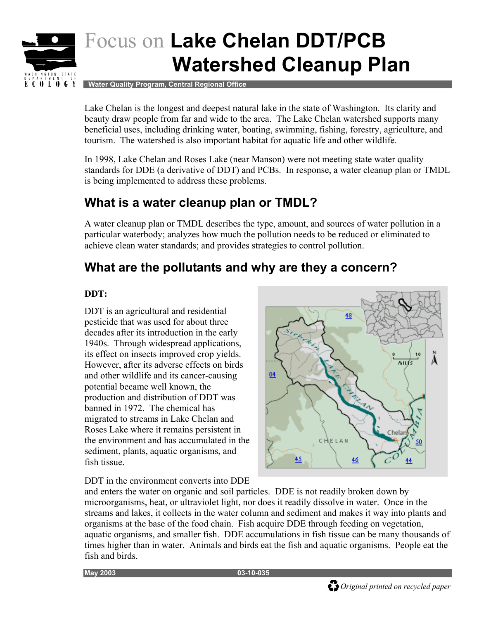

# Focus on **Lake Chelan DDT/PCB Watershed Cleanup Plan**

 **Water Quality Program, Central Regional Office** 

Lake Chelan is the longest and deepest natural lake in the state of Washington. Its clarity and beauty draw people from far and wide to the area. The Lake Chelan watershed supports many beneficial uses, including drinking water, boating, swimming, fishing, forestry, agriculture, and tourism. The watershed is also important habitat for aquatic life and other wildlife.

In 1998, Lake Chelan and Roses Lake (near Manson) were not meeting state water quality standards for DDE (a derivative of DDT) and PCBs. In response, a water cleanup plan or TMDL is being implemented to address these problems.

## **What is a water cleanup plan or TMDL?**

A water cleanup plan or TMDL describes the type, amount, and sources of water pollution in a particular waterbody; analyzes how much the pollution needs to be reduced or eliminated to achieve clean water standards; and provides strategies to control pollution.

## **What are the pollutants and why are they a concern?**

#### **DDT:**

DDT is an agricultural and residential pesticide that was used for about three decades after its introduction in the early 1940s. Through widespread applications, its effect on insects improved crop yields. However, after its adverse effects on birds and other wildlife and its cancer-causing potential became well known, the production and distribution of DDT was banned in 1972. The chemical has migrated to streams in Lake Chelan and Roses Lake where it remains persistent in the environment and has accumulated in the sediment, plants, aquatic organisms, and fish tissue.

DDT in the environment converts into DDE



and enters the water on organic and soil particles. DDE is not readily broken down by microorganisms, heat, or ultraviolet light, nor does it readily dissolve in water. Once in the streams and lakes, it collects in the water column and sediment and makes it way into plants and organisms at the base of the food chain. Fish acquire DDE through feeding on vegetation, aquatic organisms, and smaller fish. DDE accumulations in fish tissue can be many thousands of times higher than in water. Animals and birds eat the fish and aquatic organisms. People eat the fish and birds.

**May 2003 03-10-035**